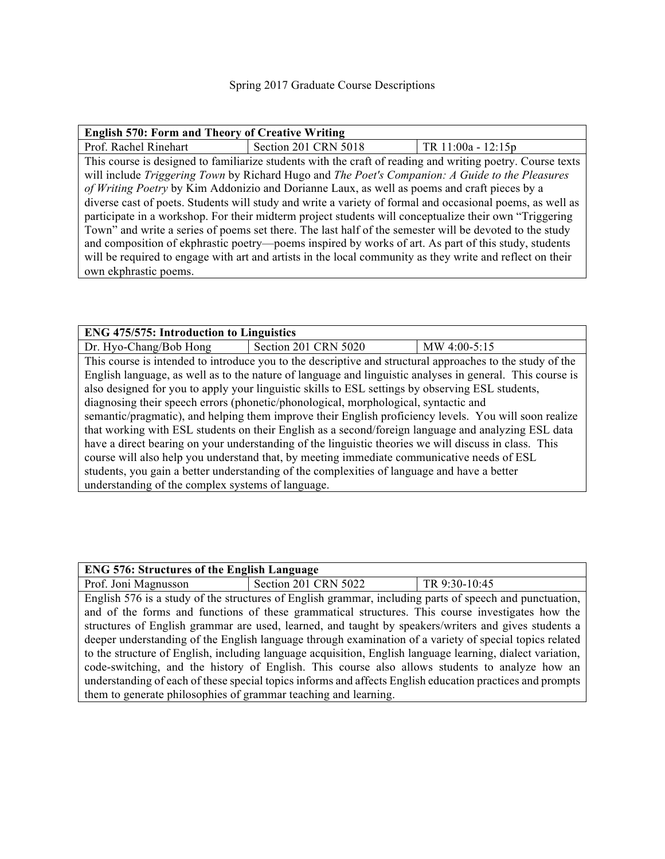| <b>English 570: Form and Theory of Creative Writing</b>                                                   |                      |                                                                                                            |  |
|-----------------------------------------------------------------------------------------------------------|----------------------|------------------------------------------------------------------------------------------------------------|--|
| Prof. Rachel Rinehart                                                                                     | Section 201 CRN 5018 | TR 11:00a - 12:15p                                                                                         |  |
|                                                                                                           |                      | This course is designed to familiarize students with the craft of reading and writing poetry. Course texts |  |
| will include Triggering Town by Richard Hugo and The Poet's Companion: A Guide to the Pleasures           |                      |                                                                                                            |  |
| of Writing Poetry by Kim Addonizio and Dorianne Laux, as well as poems and craft pieces by a              |                      |                                                                                                            |  |
| diverse cast of poets. Students will study and write a variety of formal and occasional poems, as well as |                      |                                                                                                            |  |
| participate in a workshop. For their midterm project students will conceptualize their own "Triggering    |                      |                                                                                                            |  |
| Town" and write a series of poems set there. The last half of the semester will be devoted to the study   |                      |                                                                                                            |  |
| and composition of ekphrastic poetry—poems inspired by works of art. As part of this study, students      |                      |                                                                                                            |  |
| will be required to engage with art and artists in the local community as they write and reflect on their |                      |                                                                                                            |  |
| own ekphrastic poems.                                                                                     |                      |                                                                                                            |  |

#### **ENG 475/575: Introduction to Linguistics**

Dr. Hyo-Chang/Bob Hong Section 201 CRN 5020 MW 4:00-5:15 This course is intended to introduce you to the descriptive and structural approaches to the study of the English language, as well as to the nature of language and linguistic analyses in general. This course is also designed for you to apply your linguistic skills to ESL settings by observing ESL students, diagnosing their speech errors (phonetic/phonological, morphological, syntactic and semantic/pragmatic), and helping them improve their English proficiency levels. You will soon realize that working with ESL students on their English as a second/foreign language and analyzing ESL data have a direct bearing on your understanding of the linguistic theories we will discuss in class. This course will also help you understand that, by meeting immediate communicative needs of ESL students, you gain a better understanding of the complexities of language and have a better understanding of the complex systems of language.

## **ENG 576: Structures of the English Language**

Prof. Joni Magnusson | Section 201 CRN 5022 | TR 9:30-10:45 English 576 is a study of the structures of English grammar, including parts of speech and punctuation, and of the forms and functions of these grammatical structures. This course investigates how the structures of English grammar are used, learned, and taught by speakers/writers and gives students a deeper understanding of the English language through examination of a variety of special topics related to the structure of English, including language acquisition, English language learning, dialect variation, code-switching, and the history of English. This course also allows students to analyze how an understanding of each of these special topics informs and affects English education practices and prompts them to generate philosophies of grammar teaching and learning.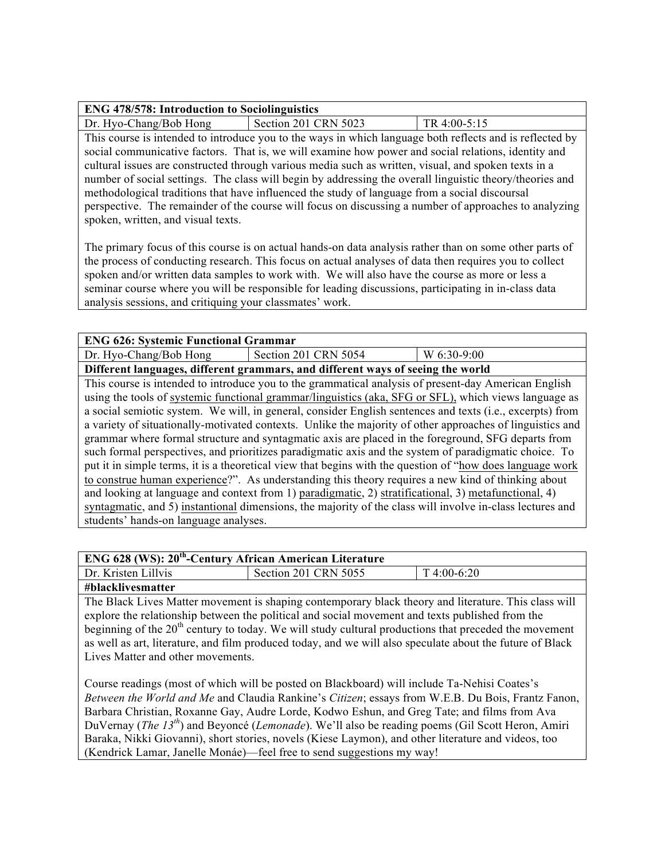| <b>ENG 478/578: Introduction to Sociolinguistics</b> |                      |                |  |
|------------------------------------------------------|----------------------|----------------|--|
| Dr. Hyo-Chang/Bob Hong                               | Section 201 CRN 5023 | $TR 4:00-5:15$ |  |

This course is intended to introduce you to the ways in which language both reflects and is reflected by social communicative factors. That is, we will examine how power and social relations, identity and cultural issues are constructed through various media such as written, visual, and spoken texts in a number of social settings. The class will begin by addressing the overall linguistic theory/theories and methodological traditions that have influenced the study of language from a social discoursal perspective. The remainder of the course will focus on discussing a number of approaches to analyzing spoken, written, and visual texts.

The primary focus of this course is on actual hands-on data analysis rather than on some other parts of the process of conducting research. This focus on actual analyses of data then requires you to collect spoken and/or written data samples to work with. We will also have the course as more or less a seminar course where you will be responsible for leading discussions, participating in in-class data analysis sessions, and critiquing your classmates' work.

## **ENG 626: Systemic Functional Grammar**

Dr. Hyo-Chang/Bob Hong Section 201 CRN 5054 W  $6:30-9:00$ 

**Different languages, different grammars, and different ways of seeing the world**

This course is intended to introduce you to the grammatical analysis of present-day American English using the tools of systemic functional grammar/linguistics (aka, SFG or SFL), which views language as a social semiotic system. We will, in general, consider English sentences and texts (i.e., excerpts) from a variety of situationally-motivated contexts. Unlike the majority of other approaches of linguistics and grammar where formal structure and syntagmatic axis are placed in the foreground, SFG departs from such formal perspectives, and prioritizes paradigmatic axis and the system of paradigmatic choice. To put it in simple terms, it is a theoretical view that begins with the question of "how does language work to construe human experience?". As understanding this theory requires a new kind of thinking about and looking at language and context from 1) paradigmatic, 2) stratificational, 3) metafunctional, 4) syntagmatic, and 5) instantional dimensions, the majority of the class will involve in-class lectures and students' hands-on language analyses.

| $\vert$ ENG 628 (WS): $20^{th}$ -Century African American Literature |                      |             |  |
|----------------------------------------------------------------------|----------------------|-------------|--|
| Dr. Kristen Lillvis                                                  | Section 201 CRN 5055 | T 4:00-6:20 |  |
|                                                                      |                      |             |  |

**#blacklivesmatter**

The Black Lives Matter movement is shaping contemporary black theory and literature. This class will explore the relationship between the political and social movement and texts published from the beginning of the 20<sup>th</sup> century to today. We will study cultural productions that preceded the movement as well as art, literature, and film produced today, and we will also speculate about the future of Black Lives Matter and other movements.

Course readings (most of which will be posted on Blackboard) will include Ta-Nehisi Coates's *Between the World and Me* and Claudia Rankine's *Citizen*; essays from W.E.B. Du Bois, Frantz Fanon, Barbara Christian, Roxanne Gay, Audre Lorde, Kodwo Eshun, and Greg Tate; and films from Ava DuVernay (*The 13th* ) and Beyoncé (*Lemonade*). We'll also be reading poems (Gil Scott Heron, Amiri Baraka, Nikki Giovanni), short stories, novels (Kiese Laymon), and other literature and videos, too (Kendrick Lamar, Janelle Monáe)—feel free to send suggestions my way!